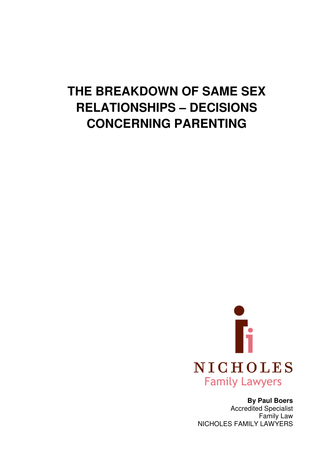# **THE BREAKDOWN OF SAME SEX RELATIONSHIPS – DECISIONS CONCERNING PARENTING**



**By Paul Boers** 

Accredited Specialist Family Law NICHOLES FAMILY LAWYERS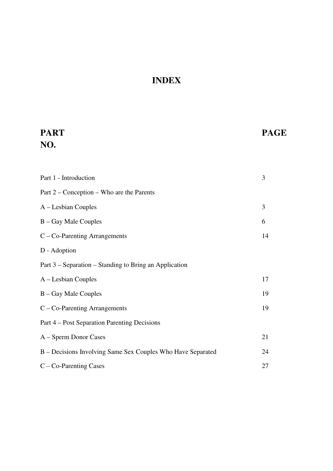# **INDEX**

# **PART PAGE NO.**

| Part 1 - Introduction                                       | 3  |
|-------------------------------------------------------------|----|
| Part 2 – Conception – Who are the Parents                   |    |
| A – Lesbian Couples                                         | 3  |
| B – Gay Male Couples                                        | 6  |
| $C - Co-Paraming Arrangements$                              | 14 |
| D - Adoption                                                |    |
| Part 3 – Separation – Standing to Bring an Application      |    |
| A – Lesbian Couples                                         | 17 |
| B – Gay Male Couples                                        | 19 |
| $C - Co-Paraming Arrangements$                              | 19 |
| Part 4 – Post Separation Parenting Decisions                |    |
| A – Sperm Donor Cases                                       | 21 |
| B – Decisions Involving Same Sex Couples Who Have Separated | 24 |
| $C - Co-Paraming Cases$                                     | 27 |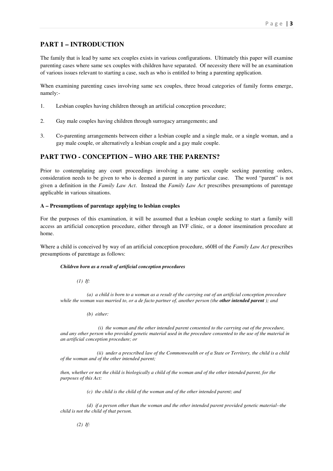# **PART 1 – INTRODUCTION**

The family that is lead by same sex couples exists in various configurations. Ultimately this paper will examine parenting cases where same sex couples with children have separated. Of necessity there will be an examination of various issues relevant to starting a case, such as who is entitled to bring a parenting application.

When examining parenting cases involving same sex couples, three broad categories of family forms emerge, namely:-

- 1. Lesbian couples having children through an artificial conception procedure;
- 2. Gay male couples having children through surrogacy arrangements; and
- 3. Co-parenting arrangements between either a lesbian couple and a single male, or a single woman, and a gay male couple, or alternatively a lesbian couple and a gay male couple.

# **PART TWO - CONCEPTION – WHO ARE THE PARENTS?**

Prior to contemplating any court proceedings involving a same sex couple seeking parenting orders, consideration needs to be given to who is deemed a parent in any particular case. The word "parent" is not given a definition in the *Family Law Act*. Instead the *Family Law Act* prescribes presumptions of parentage applicable in various situations.

# **A – Presumptions of parentage applying to lesbian couples**

For the purposes of this examination, it will be assumed that a lesbian couple seeking to start a family will access an artificial conception procedure, either through an IVF clinic, or a donor insemination procedure at home.

Where a child is conceived by way of an artificial conception procedure, s60H of the *Family Law Act* prescribes presumptions of parentage as follows:

# *Children born as a result of artificial conception procedures*

 *(1) If:* 

 *(a) a child is born to a woman as a result of the carrying out of an artificial conception procedure while the woman was married to, or a de facto partner of, another person (the other intended parent); and* 

 *(b) either:* 

 *(i) the woman and the other intended parent consented to the carrying out of the procedure, and any other person who provided genetic material used in the procedure consented to the use of the material in an artificial conception procedure; or* 

 *(ii) under a prescribed law of the Commonwealth or of a State or Territory, the child is a child of the woman and of the other intended parent;* 

*then, whether or not the child is biologically a child of the woman and of the other intended parent, for the purposes of this Act:* 

 *(c) the child is the child of the woman and of the other intended parent; and* 

 *(d) if a person other than the woman and the other intended parent provided genetic material--the child is not the child of that person.*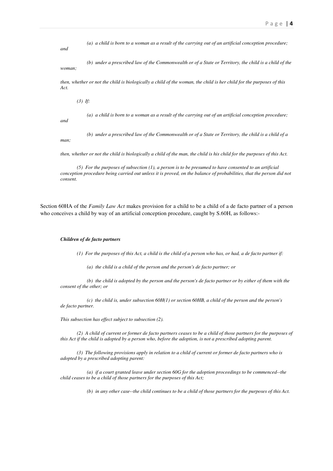*(a) a child is born to a woman as a result of the carrying out of an artificial conception procedure;* 

*and* 

*and* 

 *(b) under a prescribed law of the Commonwealth or of a State or Territory, the child is a child of the woman;* 

*then, whether or not the child is biologically a child of the woman, the child is her child for the purposes of this Act.* 

 *(3) If:* 

 *(a) a child is born to a woman as a result of the carrying out of an artificial conception procedure;* 

 *(b) under a prescribed law of the Commonwealth or of a State or Territory, the child is a child of a man;* 

*then, whether or not the child is biologically a child of the man, the child is his child for the purposes of this Act.* 

 *(5) For the purposes of subsection (1), a person is to be presumed to have consented to an artificial conception procedure being carried out unless it is proved, on the balance of probabilities, that the person did not consent.* 

Section 60HA of the *Family Law Act* makes provision for a child to be a child of a de facto partner of a person who conceives a child by way of an artificial conception procedure, caught by S.60H, as follows:-

#### *Children of de facto partners*

 *(1) For the purposes of this Act, a child is the child of a person who has, or had, a de facto partner if:* 

 *(a) the child is a child of the person and the person's de facto partner; or* 

 *(b) the child is adopted by the person and the person's de facto partner or by either of them with the consent of the other; or* 

 *(c) the child is, under subsection 60H(1) or section 60HB, a child of the person and the person's de facto partner.* 

*This subsection has effect subject to subsection (2).* 

 *(2) A child of current or former de facto partners ceases to be a child of those partners for the purposes of this Act if the child is adopted by a person who, before the adoption, is not a prescribed adopting parent.* 

 *(3) The following provisions apply in relation to a child of current or former de facto partners who is adopted by a prescribed adopting parent:* 

 *(a) if a court granted leave under section 60G for the adoption proceedings to be commenced--the child ceases to be a child of those partners for the purposes of this Act;* 

 *(b) in any other case--the child continues to be a child of those partners for the purposes of this Act.*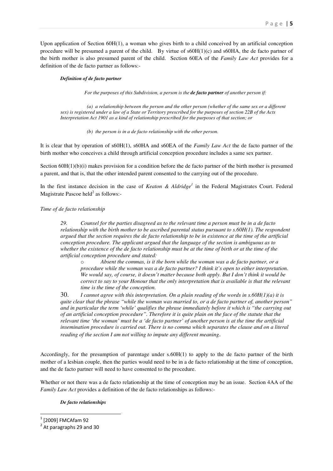Upon application of Section 60H(1), a woman who gives birth to a child conceived by an artificial conception procedure will be presumed a parent of the child. By virtue of  $\rm s60H(1)(c)$  and  $\rm s60H$ A, the de facto partner of the birth mother is also presumed parent of the child. Section 60EA of the *Family Law Act* provides for a definition of the de facto partner as follows:-

# *Definition of de facto partner*

 *For the purposes of this Subdivision, a person is the de facto partner of another person if:* 

 *(a) a relationship between the person and the other person (whether of the same sex or a different sex) is registered under a law of a State or Territory prescribed for the purposes of section 22B of the Acts Interpretation Act 1901 as a kind of relationship prescribed for the purposes of that section; or* 

 *(b) the person is in a de facto relationship with the other person.* 

It is clear that by operation of s60H(1), s60HA and s60EA of the *Family Law Act* the de facto partner of the birth mother who conceives a child through artificial conception procedure includes a same sex partner.

Section  $60H(1)(b)(i)$  makes provision for a condition before the de facto partner of the birth mother is presumed a parent, and that is, that the other intended parent consented to the carrying out of the procedure.

In the first instance decision in the case of *Keaton & Aldridge<sup>1</sup>* in the Federal Magistrates Court. Federal Magistrate Pascoe held $2$  as follows:-

# *Time of de facto relationship*

*29. Counsel for the parties disagreed as to the relevant time a person must be in a de facto relationship with the birth mother to be ascribed parental status pursuant to s.60H(1). The respondent argued that the section requires the de facto relationship to be in existence at the time of the artificial conception procedure. The applicant argued that the language of the section is ambiguous as to whether the existence of the de facto relationship must be at the time of birth or at the time of the artificial conception procedure and stated:* 

Absent the commas, is it the born while the woman was a de facto partner, or a *procedure while the woman was a de facto partner? I think it's open to either interpretation. We would say, of course, it doesn't matter because both apply. But I don't think it would be correct to say to your Honour that the only interpretation that is available is that the relevant time is the time of the conception.* 

30. *I cannot agree with this interpretation. On a plain reading of the words in s.60H(1)(a) it is quite clear that the phrase "while the woman was married to, or a de facto partner of, another person" and in particular the term 'while' qualifies the phrase immediately before it which is "the carrying out of an artificial conception procedure". Therefore it is quite plain on the face of the statute that the relevant time 'the woman' must be a 'de facto partner' of another person is at the time the artificial insemination procedure is carried out. There is no comma which separates the clause and on a literal reading of the section I am not willing to impute any different meaning*.

Accordingly, for the presumption of parentage under s.60H(1) to apply to the de facto partner of the birth mother of a lesbian couple, then the parties would need to be in a de facto relationship at the time of conception, and the de facto partner will need to have consented to the procedure.

Whether or not there was a de facto relationship at the time of conception may be an issue. Section 4AA of the *Family Law Act* provides a definition of the de facto relationships as follows:-

# *De facto relationships*

l

<sup>1</sup> [2009] FMCAfam 92

 $2$  At paragraphs 29 and 30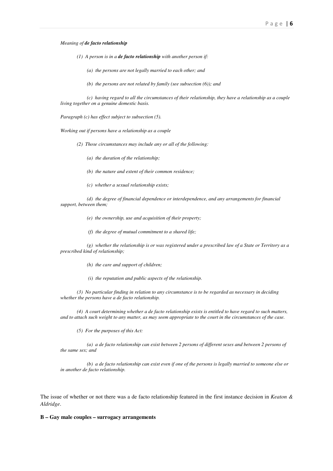#### *Meaning of de facto relationship*

- *(1) A person is in a de facto relationship with another person if:* 
	- *(a) the persons are not legally married to each other; and*
	- *(b) the persons are not related by family (see subsection (6)); and*

 *(c) having regard to all the circumstances of their relationship, they have a relationship as a couple living together on a genuine domestic basis.* 

*Paragraph (c) has effect subject to subsection (5).* 

*Working out if persons have a relationship as a couple* 

- *(2) Those circumstances may include any or all of the following:* 
	- *(a) the duration of the relationship;*
	- *(b) the nature and extent of their common residence;*
	- *(c) whether a sexual relationship exists;*

 *(d) the degree of financial dependence or interdependence, and any arrangements for financial support, between them;* 

- *(e) the ownership, use and acquisition of their property;*
- *(f) the degree of mutual commitment to a shared life;*

 *(g) whether the relationship is or was registered under a prescribed law of a State or Territory as a prescribed kind of relationship;* 

- *(h) the care and support of children;*
- *(i) the reputation and public aspects of the relationship.*

 *(3) No particular finding in relation to any circumstance is to be regarded as necessary in deciding whether the persons have a de facto relationship.* 

 *(4) A court determining whether a de facto relationship exists is entitled to have regard to such matters, and to attach such weight to any matter, as may seem appropriate to the court in the circumstances of the case.* 

 *(5) For the purposes of this Act:* 

 *(a) a de facto relationship can exist between 2 persons of different sexes and between 2 persons of the same sex; and* 

 *(b) a de facto relationship can exist even if one of the persons is legally married to someone else or in another de facto relationship.* 

The issue of whether or not there was a de facto relationship featured in the first instance decision in *Keaton & Aldridge*.

#### **B – Gay male couples – surrogacy arrangements**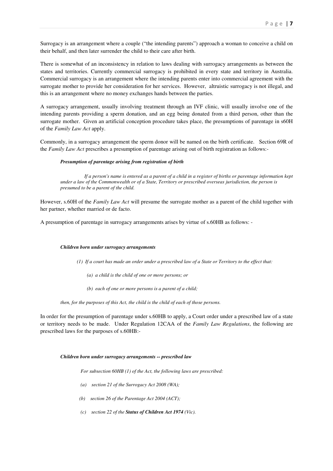Surrogacy is an arrangement where a couple ("the intending parents") approach a woman to conceive a child on their behalf, and then later surrender the child to their care after birth.

There is somewhat of an inconsistency in relation to laws dealing with surrogacy arrangements as between the states and territories. Currently commercial surrogacy is prohibited in every state and territory in Australia. Commercial surrogacy is an arrangement where the intending parents enter into commercial agreement with the surrogate mother to provide her consideration for her services. However, altruistic surrogacy is not illegal, and this is an arrangement where no money exchanges hands between the parties.

A surrogacy arrangement, usually involving treatment through an IVF clinic, will usually involve one of the intending parents providing a sperm donation, and an egg being donated from a third person, other than the surrogate mother. Given an artificial conception procedure takes place, the presumptions of parentage in s60H of the *Family Law Act* apply.

Commonly, in a surrogacy arrangement the sperm donor will be named on the birth certificate. Section 69R of the *Family Law Act* prescribes a presumption of parentage arising out of birth registration as follows:-

# *Presumption of parentage arising from registration of birth*

 *If a person's name is entered as a parent of a child in a register of births or parentage information kept under a law of the Commonwealth or of a State, Territory or prescribed overseas jurisdiction, the person is presumed to be a parent of the child.* 

However, s.60H of the *Family Law Act* will presume the surrogate mother as a parent of the child together with her partner, whether married or de facto.

A presumption of parentage in surrogacy arrangements arises by virtue of s.60HB as follows: -

# *Children born under surrogacy arrangements*

- *(1) If a court has made an order under a prescribed law of a State or Territory to the effect that:* 
	- *(a) a child is the child of one or more persons; or*
	- *(b) each of one or more persons is a parent of a child;*

*then, for the purposes of this Act, the child is the child of each of those persons.* 

In order for the presumption of parentage under s.60HB to apply, a Court order under a prescribed law of a state or territory needs to be made. Under Regulation 12CAA of the *Family Law Regulations*, the following are prescribed laws for the purposes of s.60HB:-

# *Children born under surrogacy arrangements -- prescribed law*

 *For subsection 60HB (1) of the Act, the following laws are prescribed:* 

- *(a) section 21 of the Surrogacy Act 2008 (WA);*
- *(b) section 26 of the Parentage Act 2004 (ACT);*
- *(c) section 22 of the Status of Children Act 1974 (Vic).*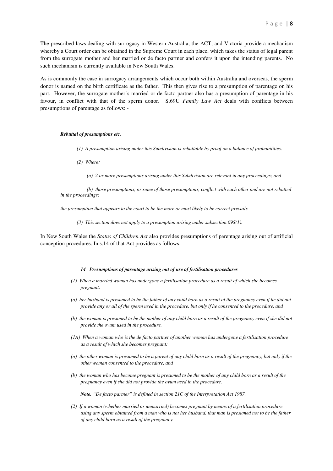The prescribed laws dealing with surrogacy in Western Australia, the ACT, and Victoria provide a mechanism whereby a Court order can be obtained in the Supreme Court in each place, which takes the status of legal parent from the surrogate mother and her married or de facto partner and confers it upon the intending parents. No such mechanism is currently available in New South Wales.

As is commonly the case in surrogacy arrangements which occur both within Australia and overseas, the sperm donor is named on the birth certificate as the father. This then gives rise to a presumption of parentage on his part. However, the surrogate mother's married or de facto partner also has a presumption of parentage in his favour, in conflict with that of the sperm donor. S.69U *Family Law Act* deals with conflicts between presumptions of parentage as follows: -

#### *Rebuttal of presumptions etc.*

- *(1) A presumption arising under this Subdivision is rebuttable by proof on a balance of probabilities.*
- *(2) Where:* 
	- *(a) 2 or more presumptions arising under this Subdivision are relevant in any proceedings; and*

 *(b) those presumptions, or some of those presumptions, conflict with each other and are not rebutted in the proceedings;* 

*the presumption that appears to the court to be the more or most likely to be correct prevails.* 

 *(3) This section does not apply to a presumption arising under subsection 69S(1).* 

In New South Wales the *Status of Children Act* also provides presumptions of parentage arising out of artificial conception procedures. In s.14 of that Act provides as follows:-

#### *14 Presumptions of parentage arising out of use of fertilisation procedures*

- *(1) When a married woman has undergone a fertilisation procedure as a result of which she becomes pregnant:*
- *(a) her husband is presumed to be the father of any child born as a result of the pregnancy even if he did not provide any or all of the sperm used in the procedure, but only if he consented to the procedure, and*
- *(b) the woman is presumed to be the mother of any child born as a result of the pregnancy even if she did not provide the ovum used in the procedure.*
- *(1A) When a woman who is the de facto partner of another woman has undergone a fertilisation procedure as a result of which she becomes pregnant:*
- *(a) the other woman is presumed to be a parent of any child born as a result of the pregnancy, but only if the other woman consented to the procedure, and*
- *(b) the woman who has become pregnant is presumed to be the mother of any child born as a result of the pregnancy even if she did not provide the ovum used in the procedure.*

*Note. "De facto partner" is defined in section 21C of the Interpretation Act 1987.* 

*(2) If a woman (whether married or unmarried) becomes pregnant by means of a fertilisation procedure using any sperm obtained from a man who is not her husband, that man is presumed not to be the father of any child born as a result of the pregnancy.*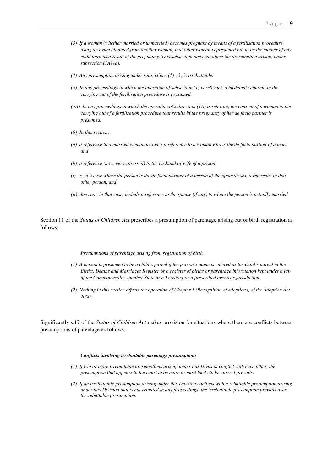- *(3) If a woman (whether married or unmarried) becomes pregnant by means of a fertilisation procedure using an ovum obtained from another woman, that other woman is presumed not to be the mother of any child born as a result of the pregnancy. This subsection does not affect the presumption arising under subsection (1A) (a).*
- *(4) Any presumption arising under subsections (1)–(3) is irrebuttable.*
- *(5) In any proceedings in which the operation of subsection (1) is relevant, a husband's consent to the carrying out of the fertilisation procedure is presumed.*
- *(5A) In any proceedings in which the operation of subsection (1A) is relevant, the consent of a woman to the carrying out of a fertilisation procedure that results in the pregnancy of her de facto partner is presumed.*
- *(6) In this section:*
- *(a) a reference to a married woman includes a reference to a woman who is the de facto partner of a man, and*
- *(b) a reference (however expressed) to the husband or wife of a person:*
- *(i) is, in a case where the person is the de facto partner of a person of the opposite sex, a reference to that other person, and*
- *(ii) does not, in that case, include a reference to the spouse (if any) to whom the person is actually married.*

Section 11 of the *Status of Children Act* prescribes a presumption of parentage arising out of birth registration as follows:-

#### *Presumptions of parentage arising from registration of birth*

- *(1) A person is presumed to be a child's parent if the person's name is entered as the child's parent in the Births, Deaths and Marriages Register or a register of births or parentage information kept under a law of the Commonwealth, another State or a Territory or a prescribed overseas jurisdiction.*
- *(2) Nothing in this section affects the operation of Chapter 5 (Recognition of adoptions) of the Adoption Act 2000.*

Significantly s.17 of the *Status of Children Act* makes provision for situations where there are conflicts between presumptions of parentage as follows:-

#### *Conflicts involving irrebuttable parentage presumptions*

- *(1) If two or more irrebuttable presumptions arising under this Division conflict with each other, the presumption that appears to the court to be more or most likely to be correct prevails.*
- *(2) If an irrebuttable presumption arising under this Division conflicts with a rebuttable presumption arising under this Division that is not rebutted in any proceedings, the irrebuttable presumption prevails over the rebuttable presumption.*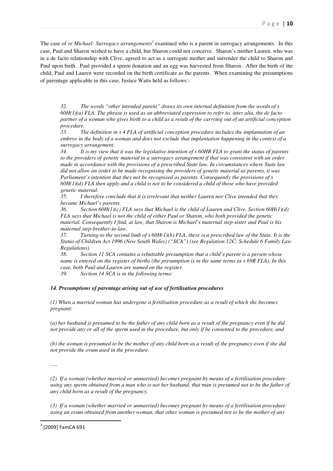The case of *re Michael: Surrogacy arrangements<sup>3</sup>* examined who is a parent in surrogacy arrangements. In this case, Paul and Sharon wished to have a child, but Sharon could not conceive. Sharon's mother Lauren, who was in a de facto relationship with Clive, agreed to act as a surrogate mother and surrender the child to Sharon and Paul upon birth. Paul provided a sperm donation and an egg was harvested from Sharon. After the birth of the child, Paul and Lauren were recorded on the birth certificate as the parents. When examining the presumptions of parentage applicable in this case, Justice Watts held as follows:-

*32. The words "other intended parent" draws its own internal definition from the words of s 60H(1)(a) FLA. The phrase is used as an abbreviated expression to refer to, inter alia, the de facto partner of a woman who gives birth to a child as a result of the carrying out of an artificial conception procedure.* 

*33. The definition in s 4 FLA of artificial conception procedure includes the implantation of an embryo in the body of a woman and does not exclude that implantation happening in the context of a surrogacy arrangement.* 

*34. It is my view that it was the legislative intention of s 60HB FLA to grant the status of parents to the providers of genetic material in a surrogacy arrangement if that was consistent with an order made in accordance with the provisions of a prescribed State law. In circumstances where State law did not allow an order to be made recognising the providers of genetic material as parents, it was Parliament's intention that they not be recognised as parents. Consequently the provisions of s 60H(1)(d) FLA then apply and a child is not to be considered a child of those who have provided genetic material.* 

*35. I therefore conclude that it is irrelevant that neither Lauren nor Clive intended that they became Michael's parents.* 

*36. Section 60H(1)(c) FLA says that Michael is the child of Lauren and Clive. Section 60H(1)(d) FLA says that Michael is not the child of either Paul or Sharon, who both provided the genetic material. Consequently I find, at law, that Sharon is Michael's maternal step-sister and Paul is his maternal step-brother-in-law.* 

*37. Turning to the second limb of s 60H(1)(b) FLA, there is a prescribed law of the State. It is the Status of Children Act 1996 (New South Wales) ("SCA") (see Regulation 12C; Schedule 6 Family Law Regulations).* 

*38. Section 11 SCA contains a rebuttable presumption that a child's parent is a person whose name is entered on the register of births (the presumption is in the same terms as s 69R FLA). In this case, both Paul and Lauren are named on the register.* 

*39. Section 14 SCA is in the following terms:* 

# *14. Presumptions of parentage arising out of use of fertilisation procedures*

*(1) When a married woman has undergone a fertilisation procedure as a result of which she becomes pregnant:* 

*(a) her husband is presumed to be the father of any child born as a result of the pregnancy even if he did not provide any or all of the sperm used in the procedure, but only if he consented to the procedure, and* 

*(b) the woman is presumed to be the mother of any child born as a result of the pregnancy even if she did not provide the ovum used in the procedure.* 

*.....* 

*(2) If a woman (whether married or unmarried) becomes pregnant by means of a fertilisation procedure using any sperm obtained from a man who is not her husband, that man is presumed not to be the father of any child born as a result of the pregnancy.* 

*(3) If a woman (whether married or unmarried) becomes pregnant by means of a fertilisation procedure using an ovum obtained from another woman, that other woman is presumed not to be the mother of any* 

<sup>&</sup>lt;sup>3</sup> [2009] FamCA 691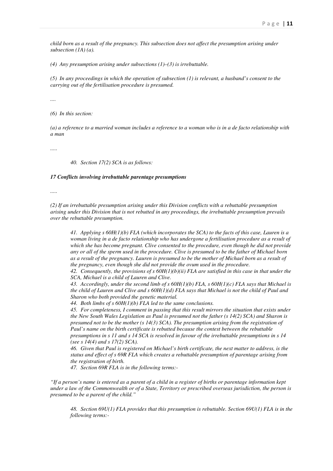*child born as a result of the pregnancy. This subsection does not affect the presumption arising under subsection (1A) (a).* 

*(4) Any presumption arising under subsections (1)–(3) is irrebuttable.* 

*(5) In any proceedings in which the operation of subsection (1) is relevant, a husband's consent to the carrying out of the fertilisation procedure is presumed.* 

*....* 

*(6) In this section:* 

*(a) a reference to a married woman includes a reference to a woman who is in a de facto relationship with a man* 

*.....* 

*40. Section 17(2) SCA is as follows:* 

#### *17 Conflicts involving irrebuttable parentage presumptions*

*.....* 

*(2) If an irrebuttable presumption arising under this Division conflicts with a rebuttable presumption arising under this Division that is not rebutted in any proceedings, the irrebuttable presumption prevails over the rebuttable presumption.* 

*41. Applying s 60H(1)(b) FLA (which incorporates the SCA) to the facts of this case, Lauren is a woman living in a de facto relationship who has undergone a fertilisation procedure as a result of which she has become pregnant. Clive consented to the procedure, even though he did not provide any or all of the sperm used in the procedure. Clive is presumed to be the father of Michael born as a result of the pregnancy. Lauren is presumed to be the mother of Michael born as a result of the pregnancy, even though she did not provide the ovum used in the procedure.* 

*42. Consequently, the provisions of s 60H(1)(b)(ii) FLA are satisfied in this case in that under the SCA, Michael is a child of Lauren and Clive.* 

*43. Accordingly, under the second limb of s 60H(1)(b) FLA, s 60H(1)(c) FLA says that Michael is the child of Lauren and Clive and s 60H(1)(d) FLA says that Michael is not the child of Paul and Sharon who both provided the genetic material.* 

*44. Both limbs of s 60H(1)(b) FLA led to the same conclusions.* 

*45. For completeness, I comment in passing that this result mirrors the situation that exists under the New South Wales Legislation as Paul is presumed not the father (s 14(2) SCA) and Sharon is presumed not to be the mother (s 14(3) SCA). The presumption arising from the registration of Paul's name on the birth certificate is rebutted because the contest between the rebuttable presumptions in s 11 and s 14 SCA is resolved in favour of the irrebuttable presumptions in s 14 (see s 14(4) and s 17(2) SCA).* 

*46. Given that Paul is registered on Michael's birth certificate, the next matter to address, is the status and effect of s 69R FLA which creates a rebuttable presumption of parentage arising from the registration of birth.* 

*47. Section 69R FLA is in the following terms:-* 

*"If a person's name is entered as a parent of a child in a register of births or parentage information kept under a law of the Commonwealth or of a State, Territory or prescribed overseas jurisdiction, the person is presumed to be a parent of the child."* 

*48. Section 69U(1) FLA provides that this presumption is rebuttable. Section 69U(1) FLA is in the following terms:-*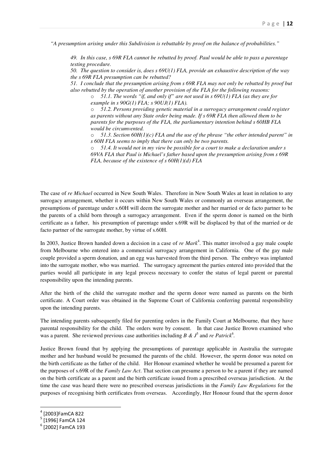*"A presumption arising under this Subdivision is rebuttable by proof on the balance of probabilities."*

*49. In this case, s 69R FLA cannot be rebutted by proof. Paul would be able to pass a parentage testing procedure.* 

*50. The question to consider is, does s 69U(1) FLA, provide an exhaustive description of the way the s 69R FLA presumption can be rebutted?* 

*51. I conclude that the presumption arising from s 69R FLA may not only be rebutted by proof but also rebutted by the operation of another provision of the FLA for the following reasons:* 

o *51.1. The words "if, and only if" are not used in s 69U(1) FLA (as they are for example in s 90G(1) FLA; s 90UJ(1) FLA).* 

51.2. Persons providing genetic material in a surrogacy arrangement could register *as parents without any State order being made. If s 69R FLA then allowed them to be parents for the purposes of the FLA, the parliamentary intention behind s 60HB FLA would be circumvented.* 

o *51.3. Section 60H(1)(c) FLA and the use of the phrase "the other intended parent" in s 60H FLA seems to imply that there can only be two parents.* 

o *51.4. It would not in my view be possible for a court to make a declaration under s 69VA FLA that Paul is Michael's father based upon the presumption arising from s 69R FLA, because of the existence of s 60H(1)(d) FLA* 

The case of *re Michael* occurred in New South Wales. Therefore in New South Wales at least in relation to any surrogacy arrangement, whether it occurs within New South Wales or commonly an overseas arrangement, the presumptions of parentage under s.60H will deem the surrogate mother and her married or de facto partner to be the parents of a child born through a surrogacy arrangement. Even if the sperm donor is named on the birth certificate as a father, his presumption of parentage under s.69R will be displaced by that of the married or de facto partner of the surrogate mother, by virtue of s.60H.

In 2003, Justice Brown handed down a decision in a case of *re Mark*<sup>4</sup>. This matter involved a gay male couple from Melbourne who entered into a commercial surrogacy arrangement in California. One of the gay male couple provided a sperm donation, and an egg was harvested from the third person. The embryo was implanted into the surrogate mother, who was married. The surrogacy agreement the parties entered into provided that the parties would all participate in any legal process necessary to confer the status of legal parent or parental responsibility upon the intending parents.

After the birth of the child the surrogate mother and the sperm donor were named as parents on the birth certificate. A Court order was obtained in the Supreme Court of California conferring parental responsibility upon the intending parents.

The intending parents subsequently filed for parenting orders in the Family Court at Melbourne, that they have parental responsibility for the child. The orders were by consent. In that case Justice Brown examined who was a parent. She reviewed previous case authorities including  $B \& \mathcal{J}^5$  and *re Patrick*<sup>6</sup>.

Justice Brown found that by applying the presumptions of parentage applicable in Australia the surrogate mother and her husband would be presumed the parents of the child. However, the sperm donor was noted on the birth certificate as the father of the child. Her Honour examined whether he would be presumed a parent for the purposes of s.69R of the *Family Law Act*. That section can presume a person to be a parent if they are named on the birth certificate as a parent and the birth certificate issued from a prescribed overseas jurisdiction. At the time the case was heard there were no prescribed overseas jurisdictions in the *Family Law Regulations* for the purposes of recognising birth certificates from overseas. Accordingly, Her Honour found that the sperm donor

<sup>4</sup> [2003]FamCA 822

<sup>&</sup>lt;sup>5</sup> [1996] FamCA 124

<sup>6</sup> [2002] FamCA 193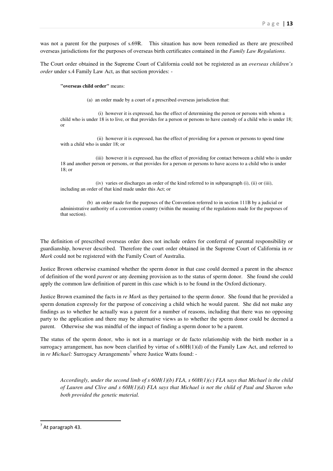was not a parent for the purposes of s.69R. This situation has now been remedied as there are prescribed overseas jurisdictions for the purposes of overseas birth certificates contained in the *Family Law Regulations*.

The Court order obtained in the Supreme Court of California could not be registered as an *overseas children's order* under s.4 Family Law Act, as that section provides: -

**"overseas child order"** means:

(a) an order made by a court of a prescribed overseas jurisdiction that:

 (i) however it is expressed, has the effect of determining the person or persons with whom a child who is under 18 is to live, or that provides for a person or persons to have custody of a child who is under 18; or

 (ii) however it is expressed, has the effect of providing for a person or persons to spend time with a child who is under 18; or

 (iii) however it is expressed, has the effect of providing for contact between a child who is under 18 and another person or persons, or that provides for a person or persons to have access to a child who is under 18; or

 (iv) varies or discharges an order of the kind referred to in subparagraph (i), (ii) or (iii), including an order of that kind made under this Act; or

 (b) an order made for the purposes of the Convention referred to in section 111B by a judicial or administrative authority of a convention country (within the meaning of the regulations made for the purposes of that section).

The definition of prescribed overseas order does not include orders for conferral of parental responsibility or guardianship, however described. Therefore the court order obtained in the Supreme Court of California in *re Mark* could not be registered with the Family Court of Australia.

Justice Brown otherwise examined whether the sperm donor in that case could deemed a parent in the absence of definition of the word *parent* or any deeming provision as to the status of sperm donor. She found she could apply the common law definition of parent in this case which is to be found in the Oxford dictionary.

Justice Brown examined the facts in *re Mark* as they pertained to the sperm donor. She found that he provided a sperm donation expressly for the purpose of conceiving a child which he would parent. She did not make any findings as to whether he actually was a parent for a number of reasons, including that there was no opposing party to the application and there may be alternative views as to whether the sperm donor could be deemed a parent. Otherwise she was mindful of the impact of finding a sperm donor to be a parent.

The status of the sperm donor, who is not in a marriage or de facto relationship with the birth mother in a surrogacy arrangement, has now been clarified by virtue of  $s.60H(1)(d)$  of the Family Law Act, and referred to in *re Michael:* Surrogacy Arrangements<sup>7</sup> where Justice Watts found: -

*Accordingly, under the second limb of s 60H(1)(b) FLA, s 60H(1)(c) FLA says that Michael is the child of Lauren and Clive and s 60H(1)(d) FLA says that Michael is not the child of Paul and Sharon who both provided the genetic material.* 

 $<sup>7</sup>$  At paragraph 43.</sup>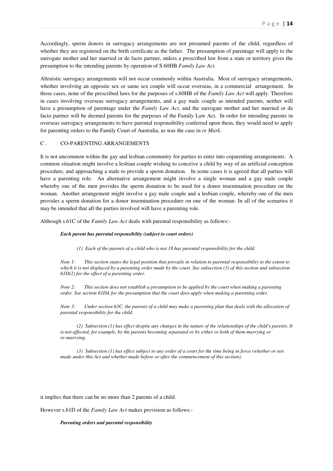Accordingly, sperm donors in surrogacy arrangements are not presumed parents of the child, regardless of whether they are registered on the birth certificate as the father. The presumption of parentage will apply to the surrogate mother and her married or de facto partner, unless a prescribed law from a state or territory gives the presumption to the intending parents by operation of S.60HB *Family Law Act*.

Altruistic surrogacy arrangements will not occur commonly within Australia. Most of surrogacy arrangements, whether involving an opposite sex or same sex couple will occur overseas, in a commercial arrangement. In those cases, none of the prescribed laws for the purposes of s.60HB of the *Family Law Act* will apply. Therefore in cases involving overseas surrogacy arrangements, and a gay male couple as intended parents, neither will have a presumption of parentage under the *Family Law Act*, and the surrogate mother and her married or de facto partner will be deemed parents for the purposes of the Family Law Act. In order for intending parents in overseas surrogacy arrangements to have parental responsibility conferred upon them, they would need to apply for parenting orders to the Family Court of Australia, as was the case in *re Mark*.

# C . CO-PARENTING ARRANGEMENTS

It is not uncommon within the gay and lesbian community for parties to enter into coparenting arrangements. A common situation might involve a lesbian couple wishing to conceive a child by way of an artificial conception procedure, and approaching a male to provide a sperm donation. In some cases it is agreed that all parties will have a parenting role. An alternative arrangement might involve a single woman and a gay male couple whereby one of the men provides the sperm donation to be used for a donor insemination procedure on the woman. Another arrangement might involve a gay male couple and a lesbian couple, whereby one of the men provides a sperm donation for a donor insemination procedure on one of the woman. In all of the scenarios it may be intended that all the parties involved will have a parenting role.

Although s.61C of the *Family Law Act* deals with parental responsibility as follows:-

# *Each parent has parental responsibility (subject to court orders)*

 *(1) Each of the parents of a child who is not 18 has parental responsibility for the child.* 

*Note 1: This section states the legal position that prevails in relation to parental responsibility to the extent to which it is not displaced by a parenting order made by the court. See subsection (3) of this section and subsection 61D(2) for the effect of a parenting order.* 

*Note 2: This section does not establish a presumption to be applied by the court when making a parenting order. See section 61DA for the presumption that the court does apply when making a parenting order.* 

*Note 3: Under section 63C, the parents of a child may make a parenting plan that deals with the allocation of parental responsibility for the child.* 

 *(2) Subsection (1) has effect despite any changes in the nature of the relationships of the child's parents. It is not affected, for example, by the parents becoming separated or by either or both of them marrying or re-marrying.* 

 *(3) Subsection (1) has effect subject to any order of a court for the time being in force (whether or not made under this Act and whether made before or after the commencement of this section).* 

it implies that there can be no more than 2 parents of a child.

However s.61D of the *Family Law Act* makes provision as follows:-

#### *Parenting orders and parental responsibility*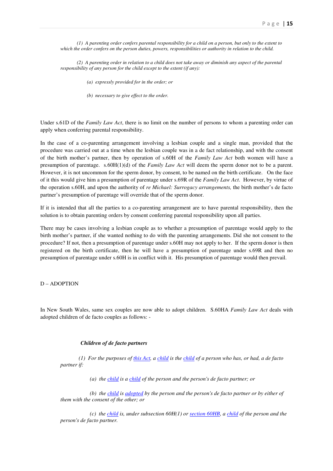*(1) A parenting order confers parental responsibility for a child on a person, but only to the extent to which the order confers on the person duties, powers, responsibilities or authority in relation to the child.* 

 *(2) A parenting order in relation to a child does not take away or diminish any aspect of the parental responsibility of any person for the child except to the extent (if any):* 

 *(a) expressly provided for in the order; or* 

 *(b) necessary to give effect to the order.*

Under s.61D of the *Family Law Act*, there is no limit on the number of persons to whom a parenting order can apply when conferring parental responsibility.

In the case of a co-parenting arrangement involving a lesbian couple and a single man, provided that the procedure was carried out at a time when the lesbian couple was in a de fact relationship, and with the consent of the birth mother's partner, then by operation of s.60H of the *Family Law Act* both women will have a presumption of parentage. s.60H(1)(d) of the *Family Law Act* will deem the sperm donor not to be a parent. However, it is not uncommon for the sperm donor, by consent, to be named on the birth certificate. On the face of it this would give him a presumption of parentage under s.69R of the *Family Law Act*. However, by virtue of the operation s.60H, and upon the authority of *re Michael: Surrogacy arrangements,* the birth mother's de facto partner's presumption of parentage will override that of the sperm donor.

If it is intended that all the parties to a co-parenting arrangement are to have parental responsibility, then the solution is to obtain parenting orders by consent conferring parental responsibility upon all parties.

There may be cases involving a lesbian couple as to whether a presumption of parentage would apply to the birth mother's partner, if she wanted nothing to do with the parenting arrangements. Did she not consent to the procedure? If not, then a presumption of parentage under s.60H may not apply to her. If the sperm donor is then registered on the birth certificate, then he will have a presumption of parentage under s.69R and then no presumption of parentage under s.60H is in conflict with it. His presumption of parentage would then prevail.

D – ADOPTION

In New South Wales, same sex couples are now able to adopt children. S.60HA *Family Law Act* deals with adopted children of de facto couples as follows: -

# *Children of de facto partners*

 *(1) For the purposes of this Act, a child is the child of a person who has, or had, a de facto partner if:* 

 *(a) the child is a child of the person and the person's de facto partner; or* 

 *(b) the child is adopted by the person and the person's de facto partner or by either of them with the consent of the other; or* 

 *(c) the child is, under subsection 60H(1) or section 60HB, a child of the person and the person's de facto partner.*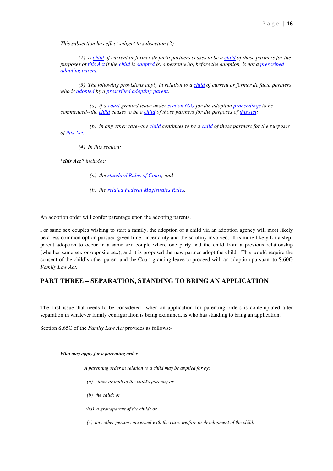*This subsection has effect subject to subsection (2).* 

 *(2) A child of current or former de facto partners ceases to be a child of those partners for the purposes of this Act if the child is adopted by a person who, before the adoption, is not a prescribed adopting parent.* 

 *(3) The following provisions apply in relation to a child of current or former de facto partners who is adopted by a prescribed adopting parent:* 

 *(a) if a court granted leave under section 60G for the adoption proceedings to be commenced--the child ceases to be a child of those partners for the purposes of this Act;* 

 *(b) in any other case--the child continues to be a child of those partners for the purposes of this Act.* 

 *(4) In this section:* 

*"this Act" includes:* 

- *(a) the standard Rules of Court; and*
- *(b) the related Federal Magistrates Rules.*

An adoption order will confer parentage upon the adopting parents.

For same sex couples wishing to start a family, the adoption of a child via an adoption agency will most likely be a less common option pursued given time, uncertainty and the scrutiny involved. It is more likely for a stepparent adoption to occur in a same sex couple where one party had the child from a previous relationship (whether same sex or opposite sex), and it is proposed the new partner adopt the child. This would require the consent of the child's other parent and the Court granting leave to proceed with an adoption pursuant to S.60G *Family Law Act*.

# **PART THREE – SEPARATION, STANDING TO BRING AN APPLICATION**

The first issue that needs to be considered when an application for parenting orders is contemplated after separation in whatever family configuration is being examined, is who has standing to bring an application.

Section S.65C of the *Family Law Act* provides as follows:-

#### *Who may apply for a parenting order*

 *A parenting order in relation to a child may be applied for by:* 

- *(a) either or both of the child's parents; or*
- *(b) the child; or*
- *(ba) a grandparent of the child; or*
- *(c) any other person concerned with the care, welfare or development of the child.*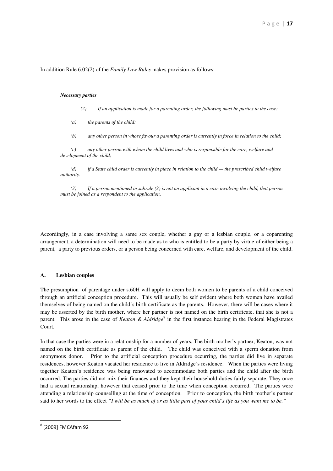In addition Rule 6.02(2) of the *Family Law Rules* makes provision as follows:-

#### *Necessary parties*

- *(2) If an application is made for a parenting order, the following must be parties to the case:*
- *(a) the parents of the child;*
- *(b) any other person in whose favour a parenting order is currently in force in relation to the child;*

 *(c) any other person with whom the child lives and who is responsible for the care, welfare and development of the child;* 

 *(d) if a State child order is currently in place in relation to the child — the prescribed child welfare authority.* 

 *(3) If a person mentioned in subrule (2) is not an applicant in a case involving the child, that person must be joined as a respondent to the application.* 

Accordingly, in a case involving a same sex couple, whether a gay or a lesbian couple, or a coparenting arrangement, a determination will need to be made as to who is entitled to be a party by virtue of either being a parent, a party to previous orders, or a person being concerned with care, welfare, and development of the child.

# **A. Lesbian couples**

The presumption of parentage under s.60H will apply to deem both women to be parents of a child conceived through an artificial conception procedure. This will usually be self evident where both women have availed themselves of being named on the child's birth certificate as the parents. However, there will be cases where it may be asserted by the birth mother, where her partner is not named on the birth certificate, that she is not a parent. This arose in the case of *Keaton & Aldridge*<sup>8</sup> in the first instance hearing in the Federal Magistrates Court.

In that case the parties were in a relationship for a number of years. The birth mother's partner, Keaton, was not named on the birth certificate as parent of the child. The child was conceived with a sperm donation from anonymous donor. Prior to the artificial conception procedure occurring, the parties did live in separate residences, however Keaton vacated her residence to live in Aldridge's residence. When the parties were living together Keaton's residence was being renovated to accommodate both parties and the child after the birth occurred. The parties did not mix their finances and they kept their household duties fairly separate. They once had a sexual relationship, however that ceased prior to the time when conception occurred. The parties were attending a relationship counselling at the time of conception. Prior to conception, the birth mother's partner said to her words to the effect *"I will be as much of or as little part of your child's life as you want me to be."*

<sup>8</sup> [2009] FMCAfam 92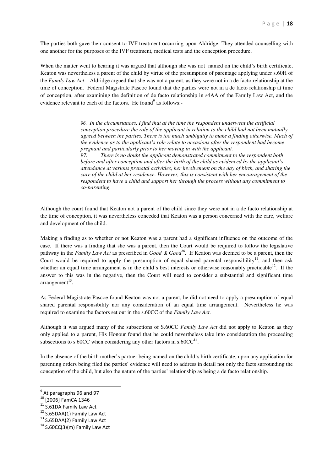The parties both gave their consent to IVF treatment occurring upon Aldridge. They attended counselling with one another for the purposes of the IVF treatment, medical tests and the conception procedure.

When the matter went to hearing it was argued that although she was not named on the child's birth certificate, Keaton was nevertheless a parent of the child by virtue of the presumption of parentage applying under s.60H of the *Family Law Act*. Aldridge argued that she was not a parent, as they were not in a de facto relationship at the time of conception. Federal Magistrate Pascoe found that the parties were not in a de facto relationship at time of conception, after examining the definition of de facto relationship in s4AA of the Family Law Act, and the evidence relevant to each of the factors. He found<sup>9</sup> as follows:-

> *96. In the circumstances, I find that at the time the respondent underwent the artificial conception procedure the role of the applicant in relation to the child had not been mutually agreed between the parties. There is too much ambiguity to make a finding otherwise. Much of the evidence as to the applicant's role relate to occasions after the respondent had become pregnant and particularly prior to her moving in with the applicant. 97. There is no doubt the applicant demonstrated commitment to the respondent both before and after conception and after the birth of the child as evidenced by the applicant's attendance at various prenatal activities, her involvement on the day of birth, and sharing the care of the child at her residence. However, this is consistent with her encouragement of the respondent to have a child and support her through the process without any commitment to co-parenting.*

Although the court found that Keaton not a parent of the child since they were not in a de facto relationship at the time of conception, it was nevertheless conceded that Keaton was a person concerned with the care, welfare and development of the child.

Making a finding as to whether or not Keaton was a parent had a significant influence on the outcome of the case. If there was a finding that she was a parent, then the Court would be required to follow the legislative pathway in the *Family Law Act* as prescribed in *Good & Good<sup>10</sup> .* If Keaton was deemed to be a parent, then the Court would be required to apply the presumption of equal shared parental responsibility<sup>11</sup>, and then ask whether an equal time arrangement is in the child's best interests or otherwise reasonably practicable<sup>12</sup>. If the answer to this was in the negative, then the Court will need to consider a substantial and significant time  $\arctan$ gement $^{13}$ .

As Federal Magistrate Pascoe found Keaton was not a parent, he did not need to apply a presumption of equal shared parental responsibility nor any consideration of an equal time arrangement. Nevertheless he was required to examine the factors set out in the s.60CC of the *Family Law Act*.

Although it was argued many of the subsections of S.60CC *Family Law Act* did not apply to Keaton as they only applied to a parent, His Honour found that he could nevertheless take into consideration the proceeding subsections to s.60CC when considering any other factors in s.60CC $^{14}$ .

In the absence of the birth mother's partner being named on the child's birth certificate, upon any application for parenting orders being filed the parties' evidence will need to address in detail not only the facts surrounding the conception of the child, but also the nature of the parties' relationship as being a de facto relationship.

l

<sup>&</sup>lt;sup>9</sup> At paragraphs 96 and 97

<sup>10</sup> [2006] FamCA 1346

<sup>&</sup>lt;sup>11</sup> S.61DA Family Law Act

<sup>&</sup>lt;sup>12</sup> S.65DAA(1) Family Law Act

<sup>&</sup>lt;sup>13</sup> S.65DAA(2) Family Law Act

 $14$  S.60CC(3)(m) Family Law Act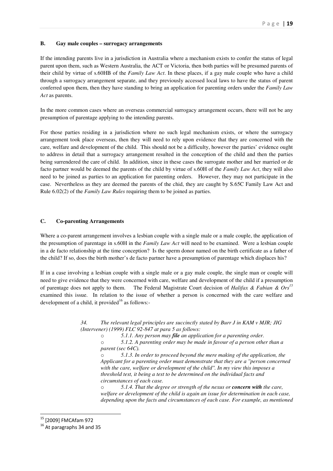# **B. Gay male couples – surrogacy arrangements**

If the intending parents live in a jurisdiction in Australia where a mechanism exists to confer the status of legal parent upon them, such as Western Australia, the ACT or Victoria, then both parties will be presumed parents of their child by virtue of s.60HB of the *Family Law Act*. In these places, if a gay male couple who have a child through a surrogacy arrangement separate, and they previously accessed local laws to have the status of parent conferred upon them, then they have standing to bring an application for parenting orders under the *Family Law Act* as parents.

In the more common cases where an overseas commercial surrogacy arrangement occurs, there will not be any presumption of parentage applying to the intending parents.

For those parties residing in a jurisdiction where no such legal mechanism exists, or where the surrogacy arrangement took place overseas, then they will need to rely upon evidence that they are concerned with the care, welfare and development of the child. This should not be a difficulty, however the parties' evidence ought to address in detail that a surrogacy arrangement resulted in the conception of the child and then the parties being surrendered the care of child. In addition, since in these cases the surrogate mother and her married or de facto partner would be deemed the parents of the child by virtue of s.60H of the *Family Law Act*, they will also need to be joined as parties to an application for parenting orders. However, they may not participate in the case. Nevertheless as they are deemed the parents of the chid, they are caught by S.65C Family Law Act and Rule 6.02(2) of the *Family Law Rules* requiring them to be joined as parties.

# **C. Co-parenting Arrangements**

Where a co-parent arrangement involves a lesbian couple with a single male or a male couple, the application of the presumption of parentage in s.60H in the *Family Law Act* will need to be examined. Were a lesbian couple in a de facto relationship at the time conception? Is the sperm donor named on the birth certificate as a father of the child? If so, does the birth mother's de facto partner have a presumption of parentage which displaces his?

If in a case involving a lesbian couple with a single male or a gay male couple, the single man or couple will need to give evidence that they were concerned with care, welfare and development of the child if a presumption of parentage does not apply to them. The Federal Magistrate Court decision of *Halifax & Fabian & Ors<sup>15</sup>* examined this issue. In relation to the issue of whether a person is concerned with the care welfare and development of a child, it provided<sup>16</sup> as follows:-

> *34. The relevant legal principles are succinctly stated by Burr J in KAM v MJR; JIG (Intervener) (1999) FLC 92-847 at para 5 as follows:*

> > o *5.1.1. Any person may file an application for a parenting order.*

o *5.1.2. A parenting order may be made in favour of a person other than a parent (sec 64C).* 

o *5.1.3. In order to proceed beyond the mere making of the application, the Applicant for a parenting order must demonstrate that they are a ''person concerned with the care, welfare or development of the child''. In my view this imposes a threshold test, it being a test to be determined on the individual facts and circumstances of each case.* 

o *5.1.4. That the degree or strength of the nexus or concern with the care, welfare or development of the child is again an issue for determination in each case, depending upon the facts and circumstances of each case. For example, as mentioned* 

l

<sup>15</sup> [2009] FMCAfam 972

<sup>&</sup>lt;sup>16</sup> At paragraphs 34 and 35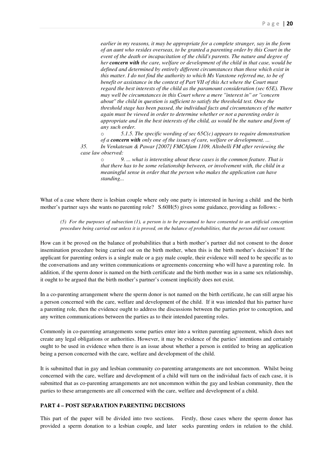*earlier in my reasons, it may be appropriate for a complete stranger, say in the form of an aunt who resides overseas, to be granted a parenting order by this Court in the event of the death or incapacitation of the child's parents. The nature and degree of her concern with the care, welfare or development of the child in that case, would be defined and determined by entirely different circumstances than those which exist in this matter. I do not find the authority to which Ms Vanstone referred me, to be of benefit or assistance in the context of Part VII of this Act where the Court must regard the best interests of the child as the paramount consideration (sec 65E). There may well be circumstances in this Court where a mere ''interest in'' or ''concern about'' the child in question is sufficient to satisfy the threshold test. Once the threshold stage has been passed, the individual facts and circumstances of the matter again must be viewed in order to determine whether or not a parenting order is appropriate and in the best interests of the child, as would be the nature and form of any such order.* 

o *5.1.5. The specific wording of sec 65C(c) appears to require demonstration of a concern with only one of the issues of care, welfare or development. ...* 

*35. In Venkatesan & Pawar [2007] FMCAfam 1109, Altobelli FM after reviewing the case law observed:* 

o *9. ... what is interesting about these cases is the common feature. That is that there has to be some relationship between, or involvement with, the child in a meaningful sense in order that the person who makes the application can have standing...* 

What of a case where there is lesbian couple where only one party is interested in having a child and the birth mother's partner says she wants no parenting role? S.60H(5) gives some guidance, providing as follows: -

*(5) For the purposes of subsection (1), a person is to be presumed to have consented to an artificial conception procedure being carried out unless it is proved, on the balance of probabilities, that the person did not consent.* 

How can it be proved on the balance of probabilities that a birth mother's partner did not consent to the donor insemination procedure being carried out on the birth mother, when this is the birth mother's decision? If the applicant for parenting orders is a single male or a gay male couple, their evidence will need to be specific as to the conversations and any written communications or agreements concerning who will have a parenting role. In addition, if the sperm donor is named on the birth certificate and the birth mother was in a same sex relationship, it ought to be argued that the birth mother's partner's consent implicitly does not exist.

In a co-parenting arrangement where the sperm donor is not named on the birth certificate, he can still argue his a person concerned with the care, welfare and development of the child. If it was intended that his partner have a parenting role, then the evidence ought to address the discussions between the parties prior to conception, and any written communications between the parties as to their intended parenting roles.

Commonly in co-parenting arrangements some parties enter into a written parenting agreement, which does not create any legal obligations or authorities. However, it may be evidence of the parties' intentions and certainly ought to be used in evidence when there is an issue about whether a person is entitled to bring an application being a person concerned with the care, welfare and development of the child.

It is submitted that in gay and lesbian community co-parenting arrangements are not uncommon. Whilst being concerned with the care, welfare and development of a child will turn on the individual facts of each case, it is submitted that as co-parenting arrangements are not uncommon within the gay and lesbian community, then the parties to these arrangements are all concerned with the care, welfare and development of a child.

# **PART 4 – POST SEPARATION PARENTING DECISIONS**

This part of the paper will be divided into two sections. Firstly, those cases where the sperm donor has provided a sperm donation to a lesbian couple, and later seeks parenting orders in relation to the child.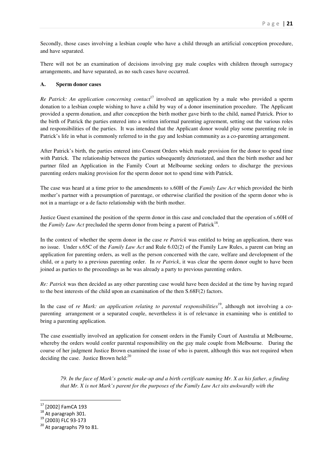Secondly, those cases involving a lesbian couple who have a child through an artificial conception procedure, and have separated.

There will not be an examination of decisions involving gay male couples with children through surrogacy arrangements, and have separated, as no such cases have occurred.

# **A. Sperm donor cases**

*Re Patrick: An application concerning contact*<sup>17</sup> involved an application by a male who provided a sperm donation to a lesbian couple wishing to have a child by way of a donor insemination procedure. The Applicant provided a sperm donation, and after conception the birth mother gave birth to the child, named Patrick. Prior to the birth of Patrick the parties entered into a written informal parenting agreement, setting out the various roles and responsibilities of the parties. It was intended that the Applicant donor would play some parenting role in Patrick's life in what is commonly referred to in the gay and lesbian community as a co-parenting arrangement.

After Patrick's birth, the parties entered into Consent Orders which made provision for the donor to spend time with Patrick. The relationship between the parties subsequently deteriorated, and then the birth mother and her partner filed an Application in the Family Court at Melbourne seeking orders to discharge the previous parenting orders making provision for the sperm donor not to spend time with Patrick.

The case was heard at a time prior to the amendments to s.60H of the *Family Law Act* which provided the birth mother's partner with a presumption of parentage, or otherwise clarified the position of the sperm donor who is not in a marriage or a de facto relationship with the birth mother.

Justice Guest examined the position of the sperm donor in this case and concluded that the operation of s.60H of the *Family Law Act* precluded the sperm donor from being a parent of Patrick<sup>18</sup>.

In the context of whether the sperm donor in the case *re Patrick* was entitled to bring an application, there was no issue. Under s.65C of the *Family Law Act* and Rule 6.02(2) of the Family Law Rules, a parent can bring an application for parenting orders, as well as the person concerned with the care, welfare and development of the child, or a party to a previous parenting order. In *re Patrick*, it was clear the sperm donor ought to have been joined as parties to the proceedings as he was already a party to previous parenting orders.

*Re: Patrick* was then decided as any other parenting case would have been decided at the time by having regard to the best interests of the child upon an examination of the then S.68F(2) factors.

In the case of *re Mark: an application relating to parental responsibilities*<sup>19</sup>, although not involving a coparenting arrangement or a separated couple, nevertheless it is of relevance in examining who is entitled to bring a parenting application.

The case essentially involved an application for consent orders in the Family Court of Australia at Melbourne, whereby the orders would confer parental responsibility on the gay male couple from Melbourne. During the course of her judgment Justice Brown examined the issue of who is parent, although this was not required when deciding the case. Justice Brown held: $^{20}$ 

*79. In the face of Mark's genetic make-up and a birth certificate naming Mr. X as his father, a finding that Mr. X is not Mark's parent for the purposes of the Family Law Act sits awkwardly with the* 

l

<sup>&</sup>lt;sup>17</sup> [2002] FamCA 193

 $18$  At paragraph 301.

<sup>&</sup>lt;sup>19</sup> (2003) FLC 93-173

 $20$  At paragraphs 79 to 81.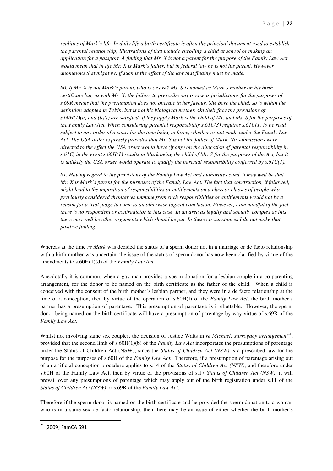*realities of Mark's life. In daily life a birth certificate is often the principal document used to establish the parental relationship; illustrations of that include enrolling a child at school or making an application for a passport. A finding that Mr. X is not a parent for the purpose of the Family Law Act would mean that in life Mr. X is Mark's father, but in federal law he is not his parent. However anomalous that might be, if such is the effect of the law that finding must be made.* 

*80. If Mr. X is not Mark's parent, who is or are? Ms. S is named as Mark's mother on his birth certificate but, as with Mr. X, the failure to prescribe any overseas jurisdictions for the purposes of s.69R means that the presumption does not operate in her favour. She bore the child, so is within the definition adopted in Tobin, but is not his biological mother. On their face the provisions of s.60H(1)(a) and (b)(i) are satisfied; if they apply Mark is the child of Mr. and Ms. S for the purposes of the Family Law Act. When considering parental responsibility s.61C(3) requires s.61C(1) to be read subject to any order of a court for the time being in force, whether or not made under the Family Law Act. The USA order expressly provides that Mr. S is not the father of Mark. No submissions were directed to the effect the USA order would have (if any) on the allocation of parental responsibility in s.61C, in the event s.60H(1) results in Mark being the child of Mr. S for the purposes of the Act, but it is unlikely the USA order would operate to qualify the parental responsibility conferred by s.61C(1).* 

*81. Having regard to the provisions of the Family Law Act and authorities cited, it may well be that Mr. X is Mark's parent for the purposes of the Family Law Act. The fact that construction, if followed, might lead to the imposition of responsibilities or entitlements on a class or classes of people who previously considered themselves immune from such responsibilities or entitlements would not be a reason for a trial judge to come to an otherwise logical conclusion. However, I am mindful of the fact there is no respondent or contradictor in this case. In an area as legally and socially complex as this there may well be other arguments which should be put. In these circumstances I do not make that positive finding.* 

Whereas at the time *re Mark* was decided the status of a sperm donor not in a marriage or de facto relationship with a birth mother was uncertain, the issue of the status of sperm donor has now been clarified by virtue of the amendments to s.60H(1)(d) of the *Family Law Act*.

Anecdotally it is common, when a gay man provides a sperm donation for a lesbian couple in a co-parenting arrangement, for the donor to be named on the birth certificate as the father of the child. When a child is conceived with the consent of the birth mother's lesbian partner, and they were in a de facto relationship at the time of a conception, then by virtue of the operation of s.60H(I) of the *Family Law Act*, the birth mother's partner has a presumption of parentage. This presumption of parentage is irrebuttable. However, the sperm donor being named on the birth certificate will have a presumption of parentage by way virtue of s.69R of the *Family Law Act*.

Whilst not involving same sex couples, the decision of Justice Watts in *re Michael: surrogacy arrangement*<sup>21</sup>, provided that the second limb of s.60H(1)(b) of the *Family Law Act* incorporates the presumptions of parentage under the Status of Children Act (NSW), since the *Status of Children Act (NSW)* is a prescribed law for the purpose for the purposes of s.60H of the *Family Law Act.* Therefore, if a presumption of parentage arising out of an artificial conception procedure applies to s.14 of the *Status of Children Act (NSW)*, and therefore under s.60H of the Family Law Act, then by virtue of the provisions of s.17 *Status of Children Act (NSW)*, it will prevail over any presumptions of parentage which may apply out of the birth registration under s.11 of the *Status of Children Act (NSW)* or s.69R of the *Family Law Act*.

Therefore if the sperm donor is named on the birth certificate and he provided the sperm donation to a woman who is in a same sex de facto relationship, then there may be an issue of either whether the birth mother's

<sup>&</sup>lt;sup>21</sup> [2009] FamCA 691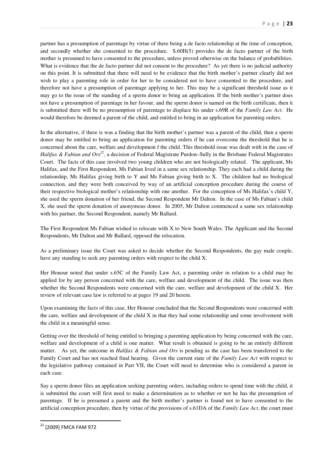partner has a presumption of parentage by virtue of there being a de facto relationship at the time of conception, and secondly whether she consented to the procedure. S.60H(5) provides the de facto partner of the birth mother is presumed to have consented to the procedure, unless proved otherwise on the balance of probabilities. What is evidence that the de facto partner did not consent to the procedure? As yet there is no judicial authority on this point. It is submitted that there will need to be evidence that the birth mother's partner clearly did not wish to play a parenting role in order for her to be considered not to have consented to the procedure, and therefore not have a presumption of parentage applying to her. This may be a significant threshold issue as it may go to the issue of the standing of a sperm donor to bring an application. If the birth mother's partner does not have a presumption of parentage in her favour, and the sperm donor is named on the birth certificate, then it is submitted there will be no presumption of parentage to displace his under s.69R of the *Family Law Act*. He would therefore be deemed a parent of the child, and entitled to bring in an application for parenting orders.

In the alternative, if there is was a finding that the birth mother's partner was a parent of the child, then a sperm donor may be entitled to bring an application for parenting orders if he can overcome the threshold that he is concerned about the care, welfare and development f the child. This threshold issue was dealt with in the case of *Halifax & Fabian and Ors<sup>22</sup>*, a decision of Federal Magistrate Purdon–Sully in the Brisbane Federal Magistrates Court. The facts of this case involved two young children who are not biologically related. The applicant, Ms Halifax, and the First Respondent, Ms Fabian lived in a same sex relationship. They each had a child during the relationship, Ms Halifax giving birth to Y and Ms Fabian giving birth to X. The children had no biological connection, and they were both conceived by way of an artificial conception procedure during the course of their respective biological mother's relationship with one another. For the conception of Ms Halifax's child Y, she used the sperm donation of her friend, the Second Respondent Mr Dalton. In the case of Ms Fabian's child X, she used the sperm donation of anonymous donor. In 2005, Mr Dalton commenced a same sex relationship with his partner, the Second Respondent, namely Mr Ballard.

The First Respondent Ms Fabian wished to relocate with X to New South Wales. The Applicant and the Second Respondents, Mr Dalton and Mr Ballard, opposed the relocation.

As a preliminary issue the Court was asked to decide whether the Second Respondents, the gay male couple, have any standing to seek any parenting orders with respect to the child X.

Her Honour noted that under s.65C of the Family Law Act, a parenting order in relation to a child may be applied for by any person concerned with the care, welfare and development of the child. The issue was then whether the Second Respondents were concerned with the care, welfare and development of the child X. Her review of relevant case law is referred to at pages 19 and 20 herein.

Upon examining the facts of this case, Her Honour concluded that the Second Respondents were concerned with the care, welfare and development of the child X in that they had some relationship and some involvement with the child in a meaningful sense.

Getting over the threshold of being entitled to bringing a parenting application by being concerned with the care, welfare and development of a child is one matter. What result is obtained is going to be an entirely different matter. As yet, the outcome in *Halifax & Fabian and Ors* is pending as the case has been transferred to the Family Court and has not reached final hearing. Given the current state of the *Family Law Act* with respect to the legislative pathway contained in Part VII, the Court will need to determine who is considered a parent in each case.

Say a sperm donor files an application seeking parenting orders, including orders to spend time with the child, it is submitted the court will first need to make a determination as to whether or not he has the presumption of parentage. If he is presumed a parent and the birth mother's partner is found not to have consented to the artificial conception procedure, then by virtue of the provisions of s.61DA of the *Family Law Act*, the court must

<sup>22</sup> [2009] FMCA FAM 972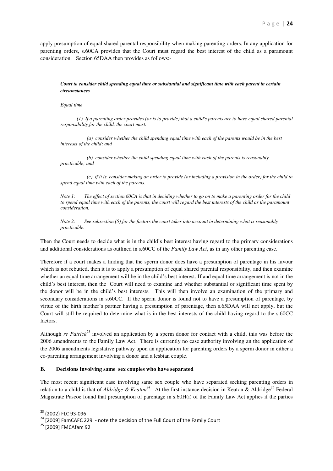apply presumption of equal shared parental responsibility when making parenting orders. In any application for parenting orders, s.60CA provides that the Court must regard the best interest of the child as a paramount consideration. Section 65DAA then provides as follows:-

# *Court to consider child spending equal time or substantial and significant time with each parent in certain circumstances*

# *Equal time*

 *(1) If a parenting order provides (or is to provide) that a child's parents are to have equal shared parental responsibility for the child, the court must:* 

 *(a) consider whether the child spending equal time with each of the parents would be in the best interests of the child; and* 

 *(b) consider whether the child spending equal time with each of the parents is reasonably practicable; and* 

 *(c) if it is, consider making an order to provide (or including a provision in the order) for the child to spend equal time with each of the parents.* 

*Note 1: The effect of section 60CA is that in deciding whether to go on to make a parenting order for the child to spend equal time with each of the parents, the court will regard the best interests of the child as the paramount consideration.* 

*Note 2: See subsection (5) for the factors the court takes into account in determining what is reasonably practicable.* 

Then the Court needs to decide what is in the child's best interest having regard to the primary considerations and additional considerations as outlined in s.60CC of the *Family Law Act*, as in any other parenting case.

Therefore if a court makes a finding that the sperm donor does have a presumption of parentage in his favour which is not rebutted, then it is to apply a presumption of equal shared parental responsibility, and then examine whether an equal time arrangement will be in the child's best interest. If and equal time arrangement is not in the child's best interest, then the Court will need to examine and whether substantial or significant time spent by the donor will be in the child's best interests. This will then involve an examination of the primary and secondary considerations in s.60CC. If the sperm donor is found not to have a presumption of parentage, by virtue of the birth mother's partner having a presumption of parentage, then s.65DAA will not apply, but the Court will still be required to determine what is in the best interests of the child having regard to the s.60CC factors.

Although *re Patrick*<sup>23</sup> involved an application by a sperm donor for contact with a child, this was before the 2006 amendments to the Family Law Act. There is currently no case authority involving an the application of the 2006 amendments legislative pathway upon an application for parenting orders by a sperm donor in either a co-parenting arrangement involving a donor and a lesbian couple.

# **B. Decisions involving same sex couples who have separated**

The most recent significant case involving same sex couple who have separated seeking parenting orders in relation to a child is that of *Aldridge & Keaton*<sup>24</sup>. At the first instance decision in Keaton & Aldridge<sup>25</sup> Federal Magistrate Pascoe found that presumption of parentage in s.60H(i) of the Family Law Act applies if the parties

<sup>23</sup> (2002) FLC 93-096

 $24$  [2002] FamCAFC 229 - note the decision of the Full Court of the Family Court

<sup>25</sup> [2009] FMCAfam 92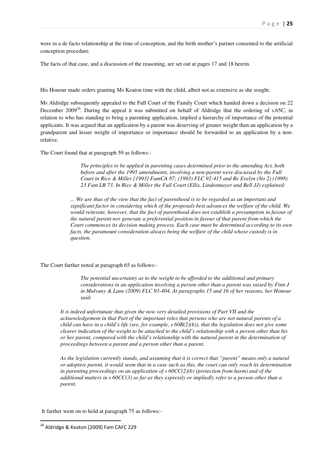were in a de facto relationship at the time of conception, and the birth mother's partner consented to the artificial conception procedure.

The facts of that case, and a discussion of the reasoning, are set out at pages 17 and 18 herein.

His Honour made orders granting Ms Keaton time with the child, albeit not as extensive as she sought.

Ms Aldridge subsequently appealed to the Full Court of the Family Court which handed down a decision on 22 December 2009<sup>26</sup>. During the appeal it was submitted on behalf of Aldridge that the ordering of s.65C, in relation to who has standing to bring a parenting application, implied a hierarchy of importance of the potential applicants. It was argued that an application by a parent was deserving of greater weight then an application by a grandparent and lesser weight of importance or importance should be forwarded to an application by a nonrelative.

The Court found that at paragraph 59 as follows:-

*The principles to be applied in parenting cases determined prior to the amending Act, both before and after the 1995 amendments, involving a non-parent were discussed by the Full Court in Rice & Miller [1993] FamCA 87; (1993) FLC 92-415 and Re Evelyn (No 2) (1998) 23 Fam LR 73. In Rice & Miller the Full Court (Ellis, Lindenmayer and Bell JJ) explained:* 

*... We are thus of the view that the fact of parenthood is to be regarded as an important and significant factor in considering which of the proposals best advances the welfare of the child. We would reiterate, however, that the fact of parenthood does not establish a presumption in favour of the natural parent nor generate a preferential position in favour of that parent from which the Court commences its decision making process. Each case must be determined according to its own facts, the paramount consideration always being the welfare of the child whose custody is in question.* 

The Court further noted at paragraph 65 as follows:-

*The potential uncertainty as to the weight to be afforded to the additional and primary considerations in an application involving a person other than a parent was raised by Finn J in Mulvany & Lane (2009) FLC 93-404. At paragraphs 15 and 16 of her reasons, her Honour said:* 

*It is indeed unfortunate that given the now very detailed provisions of Part VII and the acknowledgement in that Part of the important roles that persons who are not natural parents of a child can have in a child's life (see, for example, s 60B(2)(b)), that the legislation does not give some clearer indication of the weight to be attached to the child's relationship with a person other than his or her parent, compared with the child's relationship with the natural parent in the determination of proceedings between a parent and a person other than a parent.* 

*As the legislation currently stands, and assuming that it is correct that "parent" means only a natural or adoptive parent, it would seem that in a case such as this, the court can only reach its determination in parenting proceedings on an application of s 60CC(2)(b) (protection from harm) and of the additional matters in s 60CC(3) so far as they expressly or impliedly refer to a person other than a parent.* 

It further went on to hold at paragraph 75 as follows:-

<sup>&</sup>lt;sup>26</sup> Aldridge & Keaton [2009] Fam CAFC 229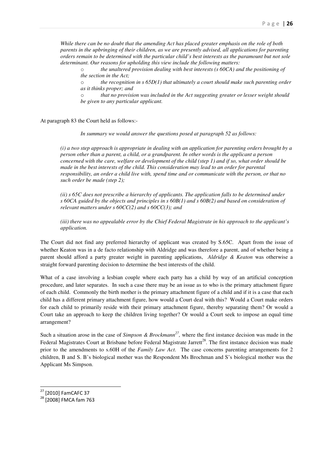*While there can be no doubt that the amending Act has placed greater emphasis on the role of both parents in the upbringing of their children, as we are presently advised, all applications for parenting orders remain to be determined with the particular child's best interests as the paramount but not sole determinant. Our reasons for upholding this view include the following matters:* 

o *the unaltered provision dealing with best interests (s 60CA) and the positioning of the section in the Act;* 

o *the recognition in s 65D(1) that ultimately a court should make such parenting order as it thinks proper; and* 

o *that no provision was included in the Act suggesting greater or lesser weight should be given to any particular applicant.* 

At paragraph 83 the Court held as follows:-

*In summary we would answer the questions posed at paragraph 52 as follows:* 

*(i) a two step approach is appropriate in dealing with an application for parenting orders brought by a person other than a parent, a child, or a grandparent. In other words is the applicant a person concerned with the care, welfare or development of the child (step 1) and if so, what order should be made in the best interests of the child. This consideration may lead to an order for parental responsibility, an order a child live with, spend time and or communicate with the person, or that no such order be made (step 2);* 

*(ii) s 65C does not prescribe a hierarchy of applicants. The application falls to be determined under s 60CA guided by the objects and principles in s 60B(1) and s 60B(2) and based on consideration of relevant matters under s 60CC(2) and s 60CC(3); and*

*(iii) there was no appealable error by the Chief Federal Magistrate in his approach to the applicant's application.* 

The Court did not find any preferred hierarchy of applicant was created by S.65C. Apart from the issue of whether Keaton was in a de facto relationship with Aldridge and was therefore a parent, and of whether being a parent should afford a party greater weight in parenting applications, *Aldridge & Keaton* was otherwise a straight forward parenting decision to determine the best interests of the child.

What of a case involving a lesbian couple where each party has a child by way of an artificial conception procedure, and later separates. In such a case there may be an issue as to who is the primary attachment figure of each child. Commonly the birth mother is the primary attachment figure of a child and if it is a case that each child has a different primary attachment figure, how would a Court deal with this? Would a Court make orders for each child to primarily reside with their primary attachment figure, thereby separating them? Or would a Court take an approach to keep the children living together? Or would a Court seek to impose an equal time arrangement?

Such a situation arose in the case of *Simpson & Brockmann<sup>27</sup>*, where the first instance decision was made in the Federal Magistrates Court at Brisbane before Federal Magistrate Jarrett<sup>28</sup>. The first instance decision was made prior to the amendments to s.60H of the *Family Law Act*. The case concerns parenting arrangements for 2 children, B and S. B's biological mother was the Respondent Ms Brochman and S's biological mother was the Applicant Ms Simpson.

l

<sup>27</sup> [2010] FamCAFC 37

<sup>28</sup> [2008] FMCA fam 763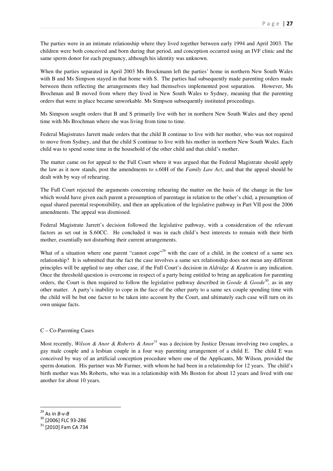The parties were in an intimate relationship where they lived together between early 1994 and April 2003. The children were both conceived and born during that period, and conception occurred using an IVF clinic and the same sperm donor for each pregnancy, although his identity was unknown.

When the parties separated in April 2003 Ms Brockmann left the parties' home in northern New South Wales with B and Ms Simpson stayed in that home with S. The parties had subsequently made parenting orders made between them reflecting the arrangements they had themselves implemented post separation. However, Ms Brochman and B moved from where they lived in New South Wales to Sydney, meaning that the parenting orders that were in place became unworkable. Ms Simpson subsequently instituted proceedings.

Ms Simpson sought orders that B and S primarily live with her in northern New South Wales and they spend time with Ms Brochman where she was living from time to time.

Federal Magistrates Jarrett made orders that the child B continue to live with her mother, who was not required to move from Sydney, and that the child S continue to live with his mother in northern New South Wales. Each child was to spend some time in the household of the other child and that child's mother.

The matter came on for appeal to the Full Court where it was argued that the Federal Magistrate should apply the law as it now stands, post the amendments to s.60H of the *Family Law Act*, and that the appeal should be dealt with by way of rehearing.

The Full Court rejected the arguments concerning rehearing the matter on the basis of the change in the law which would have given each parent a presumption of parentage in relation to the other's chid, a presumption of equal shared parental responsibility, and then an application of the legislative pathway in Part VII post the 2006 amendments. The appeal was dismissed.

Federal Magistrate Jarrett's decision followed the legislative pathway, with a consideration of the relevant factors as set out in S.60CC. He concluded it was in each child's best interests to remain with their birth mother, essentially not disturbing their current arrangements.

What of a situation where one parent "cannot cope"<sup>29</sup> with the care of a child, in the context of a same sex relationship? It is submitted that the fact the case involves a same sex relationship does not mean any different principles will be applied to any other case, if the Full Court's decision in *Aldridge & Keaton* is any indication. Once the threshold question is overcome in respect of a party being entitled to bring an application for parenting orders, the Court is then required to follow the legislative pathway described in *Goode & Goode*<sup>30</sup>, as in any other matter. A party's inability to cope in the face of the other party to a same sex couple spending time with the child will be but one factor to be taken into account by the Court, and ultimately each case will turn on its own unique facts.

# C – Co-Parenting Cases

Most recently, *Wilson & Anor & Roberts & Anor*<sup>31</sup> was a decision by Justice Dessau involving two couples, a gay male couple and a lesbian couple in a four way parenting arrangement of a child E. The child E was conceived by way of an artificial conception procedure where one of the Applicants, Mr Wilson, provided the sperm donation. His partner was Mr Farmer, with whom he had been in a relationship for 12 years. The child's birth mother was Ms Roberts, who was in a relationship with Ms Boston for about 12 years and lived with one another for about 10 years.

 $^{29}$  As in *B*-v-*B* 

<sup>30 [2006]</sup> FLC 93-286

<sup>31</sup> [2010] Fam CA 734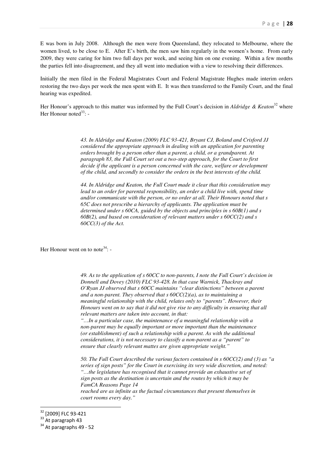E was born in July 2008. Although the men were from Queensland, they relocated to Melbourne, where the women lived, to be close to E. After E's birth, the men saw him regularly in the women's home. From early 2009, they were caring for him two full days per week, and seeing him on one evening. Within a few months the parties fell into disagreement, and they all went into mediation with a view to resolving their differences.

Initially the men filed in the Federal Magistrates Court and Federal Magistrate Hughes made interim orders restoring the two days per week the men spent with E. It was then transferred to the Family Court, and the final hearing was expedited.

Her Honour's approach to this matter was informed by the Full Court's decision in *Aldridge & Keaton*<sup>32</sup> where Her Honour noted $33$ : -

> *43. In Aldridge and Keaton (2009) FLC 93-421, Bryant CJ, Boland and Crisford JJ considered the appropriate approach in dealing with an application for parenting orders brought by a person other than a parent, a child, or a grandparent. At paragraph 83, the Full Court set out a two-step approach, for the Court to first decide if the applicant is a person concerned with the care, welfare or development of the child, and secondly to consider the orders in the best interests of the child.*

> *44. In Aldridge and Keaton, the Full Court made it clear that this consideration may*  lead to an order for parental responsibility, an order a child live with, spend time *and/or communicate with the person, or no order at all. Their Honours noted that s 65C does not prescribe a hierarchy of applicants. The application must be determined under s 60CA, guided by the objects and principles in s 60B(1) and s 60B(2), and based on consideration of relevant matters under s 60CC(2) and s 60CC(3) of the Act.*

Her Honour went on to note<sup>34</sup>: -

*49. As to the application of s 60CC to non-parents, I note the Full Court's decision in Donnell and Dovey (2010) FLC 93-428. In that case Warnick, Thackray and O'Ryan JJ observed that s 60CC maintains "clear distinctions" between a parent and a non-parent. They observed that s 60CC(2)(a), as to maintaining a meaningful relationship with the child, relates only to "parents". However, their Honours went on to say that it did not give rise to any difficulty in ensuring that all relevant matters are taken into account, in that:* 

*"…In a particular case, the maintenance of a meaningful relationship with a non-parent may be equally important or more important than the maintenance (or establishment) of such a relationship with a parent. As with the additional considerations, it is not necessary to classify a non-parent as a "parent" to ensure that clearly relevant mattes are given appropriate weight."* 

*50. The Full Court described the various factors contained in s 60CC(2) and (3) as "a series of sign posts" for the Court in exercising its very wide discretion, and noted: "…the legislature has recognised that it cannot provide an exhaustive set of sign posts as the destination is uncertain and the routes by which it may be FamCA Reasons Page 14 reached are as infinite as the factual circumstances that present themselves in court rooms every day."* 

<sup>&</sup>lt;sup>32</sup> [2009] FLC 93-421

 $33$  At paragraph 43

<sup>&</sup>lt;sup>34</sup> At paragraphs 49 - 52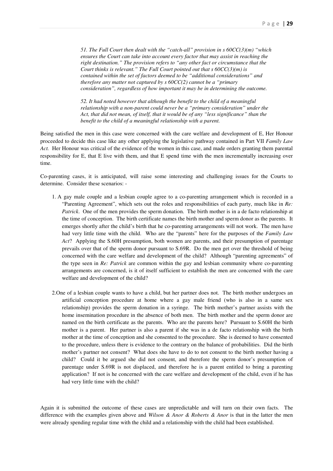*51. The Full Court then dealt with the "catch-all" provision in s 60CC(3)(m) "which ensures the Court can take into account every factor that may assist in reaching the right destination." The provision refers to "any other fact or circumstance that the Court thinks is relevant." The Full Court pointed out that s 60CC(3)(m) is contained within the set of factors deemed to be "additional considerations" and therefore any matter not captured by s 60CC(2) cannot be a "primary consideration", regardless of how important it may be in determining the outcome.* 

*52. It had noted however that although the benefit to the child of a meaningful relationship with a non-parent could never be a "primary consideration" under the Act, that did not mean, of itself, that it would be of any "less significance" than the benefit to the child of a meaningful relationship with a parent.* 

Being satisfied the men in this case were concerned with the care welfare and development of E, Her Honour proceeded to decide this case like any other applying the legislative pathway contained in Part VII *Family Law Act.* Her Honour was critical of the evidence of the women in this case, and made orders granting them parental responsibility for E, that E live with them, and that E spend time with the men incrementally increasing over time.

Co-parenting cases, it is anticipated, will raise some interesting and challenging issues for the Courts to determine. Consider these scenarios: -

- 1. A gay male couple and a lesbian couple agree to a co-parenting arrangement which is recorded in a "Parenting Agreement", which sets out the roles and responsibilities of each party, much like in *Re: Patrick*. One of the men provides the sperm donation. The birth mother is in a de facto relationship at the time of conception. The birth certificate names the birth mother and sperm donor as the parents. It emerges shortly after the child's birth that he co-parenting arrangements will not work. The men have had very little time with the child. Who are the "parents" here for the purposes of the *Family Law Act*? Applying the S.60H presumption, both women are parents, and their presumption of parentage prevails over that of the sperm donor pursuant to S.69R. Do the men get over the threshold of being concerned with the care welfare and development of the child? Although "parenting agreements" of the type seen in *Re: Patrick* are common within the gay and lesbian community where co-parenting arrangements are concerned, is it of itself sufficient to establish the men are concerned with the care welfare and development of the child?
- 2.One of a lesbian couple wants to have a child, but her partner does not. The birth mother undergoes an artificial conception procedure at home where a gay male friend (who is also in a same sex relationship) provides the sperm donation in a syringe. The birth mother's partner assists with the home insemination procedure in the absence of both men. The birth mother and the sperm donor are named on the birth certificate as the parents. Who are the parents here? Pursuant to S.60H the birth mother is a parent. Her partner is also a parent if she was in a de facto relationship with the birth mother at the time of conception and she consented to the procedure. She is deemed to have consented to the procedure, unless there is evidence to the contrary on the balance of probabilities. Did the birth mother's partner not consent? What does she have to do to not consent to the birth mother having a child? Could it be argued she did not consent, and therefore the sperm donor's presumption of parentage under S.69R is not displaced, and therefore he is a parent entitled to bring a parenting application? If not is he concerned with the care welfare and development of the child, even if he has had very little time with the child?

Again it is submitted the outcome of these cases are unpredictable and will turn on their own facts. The difference with the examples given above and *Wilson & Anor & Roberts & Anor* is that in the latter the men were already spending regular time with the child and a relationship with the child had been established.